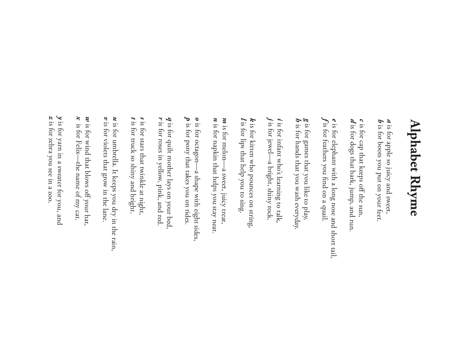## Alphabet Rhyme **Alphabet Rhyme**

 $\boldsymbol{b}$  is for boots you put on your feet. *a* is for apple so juicy and sweet, *b* is for boots you put on your feet. is for apple so juicy and sweet,

c is for cap that keeps off the sun,  $\boldsymbol{d}$  is for dogs that bark, jump, and run. *d* is for dogs that bark, jump, and run. *c* is for cap that keeps off the sun,

 $f$ is for feathers you find on a quail.  $f$  is for feathers you find on a quail. e is for elephant with a long nose and short tail, *e* is for elephant with a long nose and short tail,

**g** is for games that you like to play,<br>b is for hands that you wash everyday. *g* is for games that you like to play, *h* is for hands that you wash everyday.

*i* is for infant who's learning to talk, *i* is for infant who's learning to talk, *j* is for jewel—a bright, shiny rock. is for jewel—a bright, shiny rock.

*k* is for kitten who pounces on string, *<i>k* is for kitten who pounces on string,<br>*I* is for lips that help you to sing. is for lips that help you to sing.

n is for napkin that helps you stay neat. *m* is for melon—a sweet, juicy treat, *n* is for napkin that helps you stay neat. is for melon—a sweet, juicy treat,

*o* is for octagon—a shape with eight sides, is for octagon—a shape with eight sides, *p* is for pony that takes you on rides. is for pony that takes you on rides.

r is for roses in yellow, pink, and red.  $\boldsymbol{q}$  is for quilt mother lays on your bed, *q* is for quilt mother lays on your bed, is for roses in yellow, pink, and red.

t is for truck so shiny and bright. s is for stars that twinkle at night, *t* is for truck so shiny and bright. *s* is for stars that twinkle at night,

u is for umbrella. It keeps you dry in the rain, v is for violets that grow in the lane. *v* is for violets that grow in the lane. *u* is for umbrella. It keeps you dry in the rain,

 $\boldsymbol{x}$  is for Felix—the name of my cat. w is for wind that blows off your hat, *x* is for Felix—the name of my cat. *w* is for wind that blows off your hat,

y is for yarn in a sweater for you, and *y* is for yarn in a sweater for you, and

z is for zebra you see in a zoo. *z* is for zebra you see in a zoo.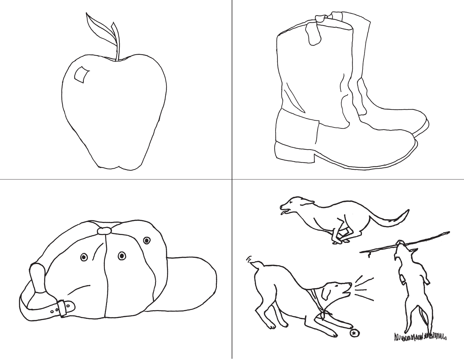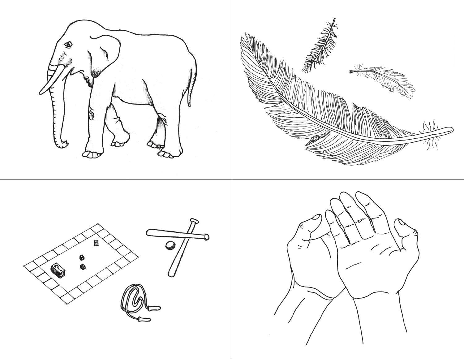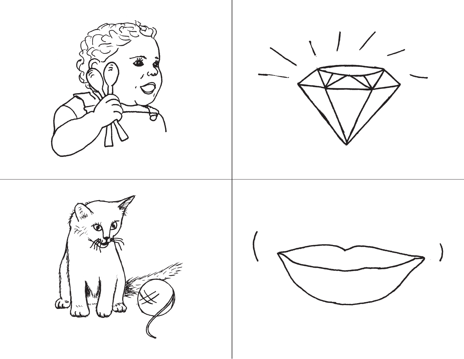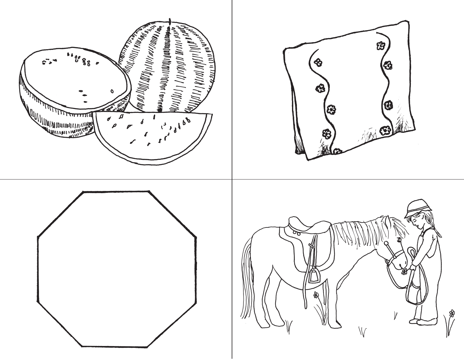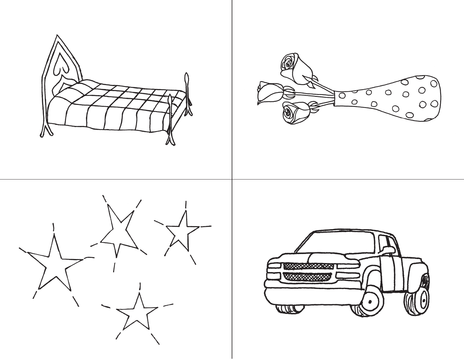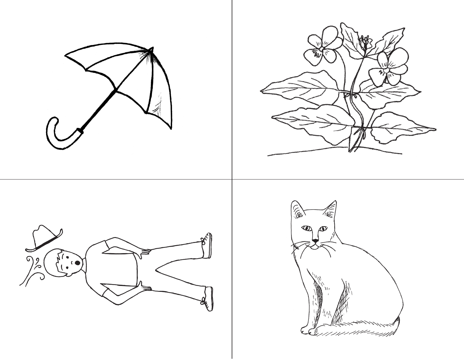